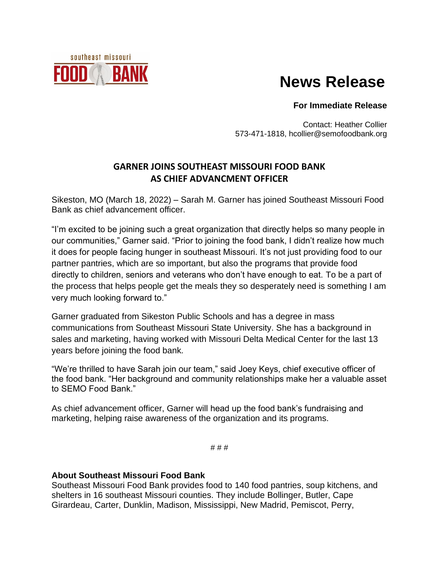

## **News Release**

## **For Immediate Release**

Contact: Heather Collier 573-471-1818, hcollier@semofoodbank.org

## **GARNER JOINS SOUTHEAST MISSOURI FOOD BANK AS CHIEF ADVANCMENT OFFICER**

Sikeston, MO (March 18, 2022) – Sarah M. Garner has joined Southeast Missouri Food Bank as chief advancement officer.

"I'm excited to be joining such a great organization that directly helps so many people in our communities," Garner said. "Prior to joining the food bank, I didn't realize how much it does for people facing hunger in southeast Missouri. It's not just providing food to our partner pantries, which are so important, but also the programs that provide food directly to children, seniors and veterans who don't have enough to eat. To be a part of the process that helps people get the meals they so desperately need is something I am very much looking forward to."

Garner graduated from Sikeston Public Schools and has a degree in mass communications from Southeast Missouri State University. She has a background in sales and marketing, having worked with Missouri Delta Medical Center for the last 13 years before joining the food bank.

"We're thrilled to have Sarah join our team," said Joey Keys, chief executive officer of the food bank. "Her background and community relationships make her a valuable asset to SEMO Food Bank."

As chief advancement officer, Garner will head up the food bank's fundraising and marketing, helping raise awareness of the organization and its programs.

# # #

## **About Southeast Missouri Food Bank**

Southeast Missouri Food Bank provides food to 140 food pantries, soup kitchens, and shelters in 16 southeast Missouri counties. They include Bollinger, Butler, Cape Girardeau, Carter, Dunklin, Madison, Mississippi, New Madrid, Pemiscot, Perry,